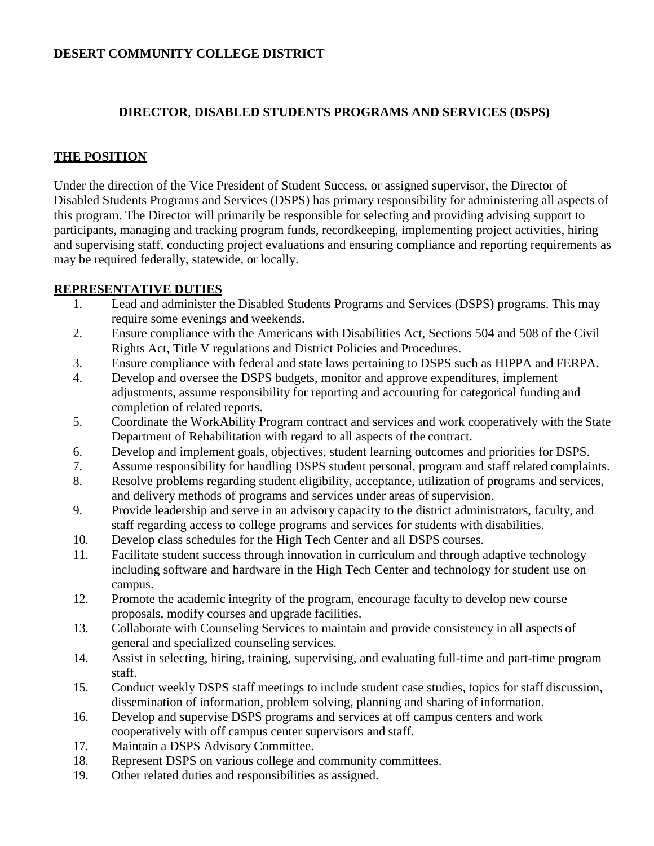#### **DESERT COMMUNITY COLLEGE DISTRICT**

### **DIRECTOR**, **DISABLED STUDENTS PROGRAMS AND SERVICES (DSPS)**

#### **THE POSITION**

Under the direction of the Vice President of Student Success, or assigned supervisor, the Director of Disabled Students Programs and Services (DSPS) has primary responsibility for administering all aspects of this program. The Director will primarily be responsible for selecting and providing advising support to participants, managing and tracking program funds, recordkeeping, implementing project activities, hiring and supervising staff, conducting project evaluations and ensuring compliance and reporting requirements as may be required federally, statewide, or locally.

#### **REPRESENTATIVE DUTIES**

- 1. Lead and administer the Disabled Students Programs and Services (DSPS) programs. This may require some evenings and weekends.
- 2. Ensure compliance with the Americans with Disabilities Act, Sections 504 and 508 of the Civil Rights Act, Title V regulations and District Policies and Procedures.
- 3. Ensure compliance with federal and state laws pertaining to DSPS such as HIPPA and FERPA.
- 4. Develop and oversee the DSPS budgets, monitor and approve expenditures, implement adjustments, assume responsibility for reporting and accounting for categorical funding and completion of related reports.
- 5. Coordinate the WorkAbility Program contract and services and work cooperatively with the State Department of Rehabilitation with regard to all aspects of the contract.
- 6. Develop and implement goals, objectives, student learning outcomes and priorities for DSPS.
- 7. Assume responsibility for handling DSPS student personal, program and staff related complaints.
- 8. Resolve problems regarding student eligibility, acceptance, utilization of programs and services, and delivery methods of programs and services under areas of supervision.
- 9. Provide leadership and serve in an advisory capacity to the district administrators, faculty, and staff regarding access to college programs and services for students with disabilities.
- 10. Develop class schedules for the High Tech Center and all DSPS courses.
- 11. Facilitate student success through innovation in curriculum and through adaptive technology including software and hardware in the High Tech Center and technology for student use on campus.
- 12. Promote the academic integrity of the program, encourage faculty to develop new course proposals, modify courses and upgrade facilities.
- 13. Collaborate with Counseling Services to maintain and provide consistency in all aspects of general and specialized counseling services.
- 14. Assist in selecting, hiring, training, supervising, and evaluating full-time and part-time program staff.
- 15. Conduct weekly DSPS staff meetings to include student case studies, topics for staff discussion, dissemination of information, problem solving, planning and sharing of information.
- 16. Develop and supervise DSPS programs and services at off campus centers and work cooperatively with off campus center supervisors and staff.
- 17. Maintain a DSPS Advisory Committee.
- 18. Represent DSPS on various college and community committees.
- 19. Other related duties and responsibilities as assigned.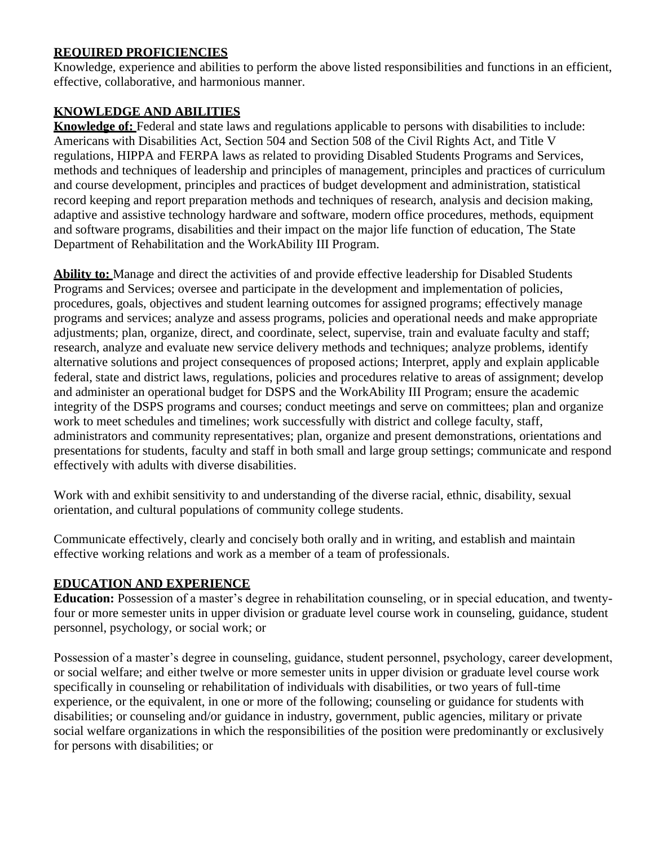## **REQUIRED PROFICIENCIES**

Knowledge, experience and abilities to perform the above listed responsibilities and functions in an efficient, effective, collaborative, and harmonious manner.

#### **KNOWLEDGE AND ABILITIES**

**Knowledge of:** Federal and state laws and regulations applicable to persons with disabilities to include: Americans with Disabilities Act, Section 504 and Section 508 of the Civil Rights Act, and Title V regulations, HIPPA and FERPA laws as related to providing Disabled Students Programs and Services, methods and techniques of leadership and principles of management, principles and practices of curriculum and course development, principles and practices of budget development and administration, statistical record keeping and report preparation methods and techniques of research, analysis and decision making, adaptive and assistive technology hardware and software, modern office procedures, methods, equipment and software programs, disabilities and their impact on the major life function of education, The State Department of Rehabilitation and the WorkAbility III Program.

**Ability to:** Manage and direct the activities of and provide effective leadership for Disabled Students Programs and Services; oversee and participate in the development and implementation of policies, procedures, goals, objectives and student learning outcomes for assigned programs; effectively manage programs and services; analyze and assess programs, policies and operational needs and make appropriate adjustments; plan, organize, direct, and coordinate, select, supervise, train and evaluate faculty and staff; research, analyze and evaluate new service delivery methods and techniques; analyze problems, identify alternative solutions and project consequences of proposed actions; Interpret, apply and explain applicable federal, state and district laws, regulations, policies and procedures relative to areas of assignment; develop and administer an operational budget for DSPS and the WorkAbility III Program; ensure the academic integrity of the DSPS programs and courses; conduct meetings and serve on committees; plan and organize work to meet schedules and timelines; work successfully with district and college faculty, staff, administrators and community representatives; plan, organize and present demonstrations, orientations and presentations for students, faculty and staff in both small and large group settings; communicate and respond effectively with adults with diverse disabilities.

Work with and exhibit sensitivity to and understanding of the diverse racial, ethnic, disability, sexual orientation, and cultural populations of community college students.

Communicate effectively, clearly and concisely both orally and in writing, and establish and maintain effective working relations and work as a member of a team of professionals.

## **EDUCATION AND EXPERIENCE**

**Education:** Possession of a master's degree in rehabilitation counseling, or in special education, and twentyfour or more semester units in upper division or graduate level course work in counseling, guidance, student personnel, psychology, or social work; or

Possession of a master's degree in counseling, guidance, student personnel, psychology, career development, or social welfare; and either twelve or more semester units in upper division or graduate level course work specifically in counseling or rehabilitation of individuals with disabilities, or two years of full-time experience, or the equivalent, in one or more of the following; counseling or guidance for students with disabilities; or counseling and/or guidance in industry, government, public agencies, military or private social welfare organizations in which the responsibilities of the position were predominantly or exclusively for persons with disabilities; or